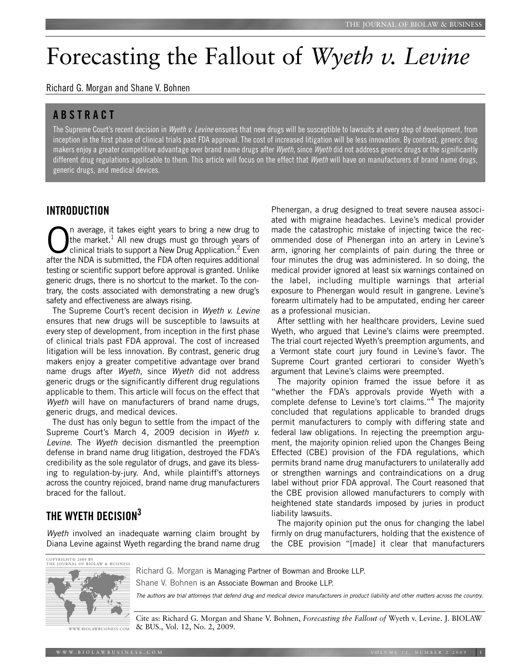# Forecasting the Fallout of *Wyeth v. Levine*

Richard G. Morgan and Shane V. Bohnen

## **ABSTRACT**

The Supreme Court's recent decision in *Wyeth v. Levine* ensures that new drugs will be susceptible to lawsuits at every step of development, from inception in the first phase of clinical trials past FDA approval. The cost of increased litigation will be less innovation. By contrast, generic drug makers enjoy a greater competitive advantage over brand name drugs after *Wyeth*, since *Wyeth* did not address generic drugs or the significantly different drug regulations applicable to them. This article will focus on the effect that *Wyeth* will have on manufacturers of brand name drugs, generic drugs, and medical devices.

# **INTRODUCTION**

 $\bigcap_{\text{the market.}}$  and the market.<sup>1</sup> All new drugs must go through years of clinical trials to support a New Drug Application.<sup>2</sup> Even the market.<sup>1</sup> All new drugs must go through years of after the NDA is submitted, the FDA often requires additional testing or scientific support before approval is granted. Unlike generic drugs, there is no shortcut to the market. To the contrary, the costs associated with demonstrating a new drug's safety and effectiveness are always rising.

The Supreme Court's recent decision in *Wyeth v. Levine* ensures that new drugs will be susceptible to lawsuits at every step of development, from inception in the first phase of clinical trials past FDA approval. The cost of increased litigation will be less innovation. By contrast, generic drug makers enjoy a greater competitive advantage over brand name drugs after *Wyeth*, since *Wyeth* did not address generic drugs or the significantly different drug regulations applicable to them. This article will focus on the effect that *Wyeth* will have on manufacturers of brand name drugs, generic drugs, and medical devices.

The dust has only begun to settle from the impact of the Supreme Court's March 4, 2009 decision in *Wyeth v. Levine*. The *Wyeth* decision dismantled the preemption defense in brand name drug litigation, destroyed the FDA's credibility as the sole regulator of drugs, and gave its blessing to regulation-by-jury. And, while plaintiff's attorneys across the country rejoiced, brand name drug manufacturers braced for the fallout.

# **THE WYETH DECISION3**

*Wyeth* involved an inadequate warning claim brought by Diana Levine against Wyeth regarding the brand name drug

Phenergan, a drug designed to treat severe nausea associated with migraine headaches. Levine's medical provider made the catastrophic mistake of injecting twice the recommended dose of Phenergan into an artery in Levine's arm, ignoring her complaints of pain during the three or four minutes the drug was administered. In so doing, the medical provider ignored at least six warnings contained on the label, including multiple warnings that arterial exposure to Phenergan would result in gangrene. Levine's forearm ultimately had to be amputated, ending her career as a professional musician.

After settling with her healthcare providers, Levine sued Wyeth, who argued that Levine's claims were preempted. The trial court rejected Wyeth's preemption arguments, and a Vermont state court jury found in Levine's favor. The Supreme Court granted certiorari to consider Wyeth's argument that Levine's claims were preempted.

The majority opinion framed the issue before it as "whether the FDA's approvals provide Wyeth with a complete defense to Levine's tort claims."4 The majority concluded that regulations applicable to branded drugs permit manufacturers to comply with differing state and federal law obligations. In rejecting the preemption argument, the majority opinion relied upon the Changes Being Effected (CBE) provision of the FDA regulations, which permits brand name drug manufacturers to unilaterally add or strengthen warnings and contraindications on a drug label without prior FDA approval. The Court reasoned that the CBE provision allowed manufacturers to comply with heightened state standards imposed by juries in product liability lawsuits.

The majority opinion put the onus for changing the label firmly on drug manufacturers, holding that the existence of the CBE provision "[made] it clear that manufacturers

```
COPYRIGHT© 2009 BY
THE JOURNAL OF BIOLA
```
Richard G. Morgan is Managing Partner of Bowman and Brooke LLP.

Shane V. Bohnen is an Associate Bowman and Brooke LLP.



WWW.BIOLAWBUSINESS.COM

Cite as: Richard G. Morgan and Shane V. Bohnen, *Forecasting the Fallout of* Wyeth v. Levine. J. BIOLAW & BUS., Vol. 12, No. 2, 2009.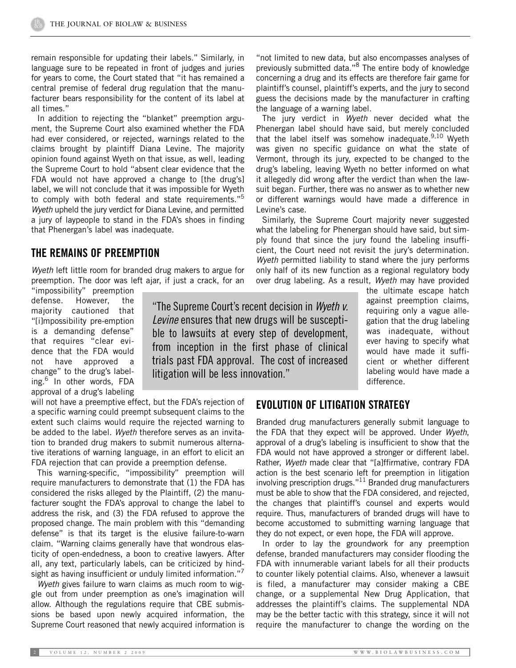remain responsible for updating their labels." Similarly, in language sure to be repeated in front of judges and juries for years to come, the Court stated that "it has remained a central premise of federal drug regulation that the manufacturer bears responsibility for the content of its label at all times."

In addition to rejecting the "blanket" preemption argument, the Supreme Court also examined whether the FDA had ever considered, or rejected, warnings related to the claims brought by plaintiff Diana Levine. The majority opinion found against Wyeth on that issue, as well, leading the Supreme Court to hold "absent clear evidence that the FDA would not have approved a change to [the drug's] label, we will not conclude that it was impossible for Wyeth to comply with both federal and state requirements."<sup>5</sup> *Wyeth* upheld the jury verdict for Diana Levine, and permitted a jury of laypeople to stand in the FDA's shoes in finding that Phenergan's label was inadequate.

#### **THE REMAINS OF PREEMPTION**

*Wyeth* left little room for branded drug makers to argue for preemption. The door was left ajar, if just a crack, for an

"impossibility" preemption defense. However, the majority cautioned that "[i]mpossibility pre-emption is a demanding defense" that requires "clear evidence that the FDA would not have approved a change" to the drug's labeling.<sup>6</sup> In other words, FDA approval of a drug's labeling

"The Supreme Court'srecent decision in *Wyeth v. Levine* ensures that new drugs will be susceptible to lawsuits at every step of development, from inception in the first phase of clinical trials past FDA approval. The cost of increased litigation will be less innovation."

will not have a preemptive effect, but the FDA's rejection of a specific warning could preempt subsequent claims to the extent such claims would require the rejected warning to be added to the label. *Wyeth* therefore serves as an invitation to branded drug makers to submit numerous alternative iterations of warning language, in an effort to elicit an FDA rejection that can provide a preemption defense.

This warning-specific, "impossibility" preemption will require manufacturers to demonstrate that (1) the FDA has considered the risks alleged by the Plaintiff, (2) the manufacturer sought the FDA's approval to change the label to address the risk, and (3) the FDA refused to approve the proposed change. The main problem with this "demanding defense" is that its target is the elusive failure-to-warn claim. "Warning claims generally have that wondrous elasticity of open-endedness, a boon to creative lawyers. After all, any text, particularly labels, can be criticized by hindsight as having insufficient or unduly limited information."<sup>7</sup>

*Wyeth* gives failure to warn claims as much room to wiggle out from under preemption as one's imagination will allow. Although the regulations require that CBE submissions be based upon newly acquired information, the Supreme Court reasoned that newly acquired information is

"not limited to new data, but also encompasses analyses of previously submitted data."<sup>8</sup> The entire body of knowledge concerning a drug and its effects are therefore fair game for plaintiff's counsel, plaintiff's experts, and the jury to second guess the decisions made by the manufacturer in crafting the language of a warning label.

The jury verdict in *Wyeth* never decided what the Phenergan label should have said, but merely concluded that the label itself was somehow inadequate.<sup>9,10</sup> Wyeth was given no specific guidance on what the state of Vermont, through its jury, expected to be changed to the drug's labeling, leaving Wyeth no better informed on what it allegedly did wrong after the verdict than when the lawsuit began. Further, there was no answer as to whether new or different warnings would have made a difference in Levine's case.

Similarly, the Supreme Court majority never suggested what the labeling for Phenergan should have said, but simply found that since the jury found the labeling insufficient, the Court need not revisit the jury's determination. *Wyeth* permitted liability to stand where the jury performs only half of its new function as a regional regulatory body over drug labeling. As a result, *Wyeth* may have provided

> the ultimate escape hatch against preemption claims, requiring only a vague allegation that the drug labeling was inadequate, without ever having to specify what would have made it sufficient or whether different labeling would have made a difference.

#### **EVOLUTION OF LITIGATION STRATEGY**

Branded drug manufacturers generally submit language to the FDA that they expect will be approved. Under *Wyeth*, approval of a drug's labeling is insufficient to show that the FDA would not have approved a stronger or different label. Rather, *Wyeth* made clear that "[a]ffirmative, contrary FDA action is the best scenario left for preemption in litigation involving prescription drugs."11 Branded drug manufacturers must be able to show that the FDA considered, and rejected, the changes that plaintiff's counsel and experts would require. Thus, manufacturers of branded drugs will have to become accustomed to submitting warning language that they do not expect, or even hope, the FDA will approve.

In order to lay the groundwork for any preemption defense, branded manufacturers may consider flooding the FDA with innumerable variant labels for all their products to counter likely potential claims. Also, whenever a lawsuit is filed, a manufacturer may consider making a CBE change, or a supplemental New Drug Application, that addresses the plaintiff's claims. The supplemental NDA may be the better tactic with this strategy, since it will not require the manufacturer to change the wording on the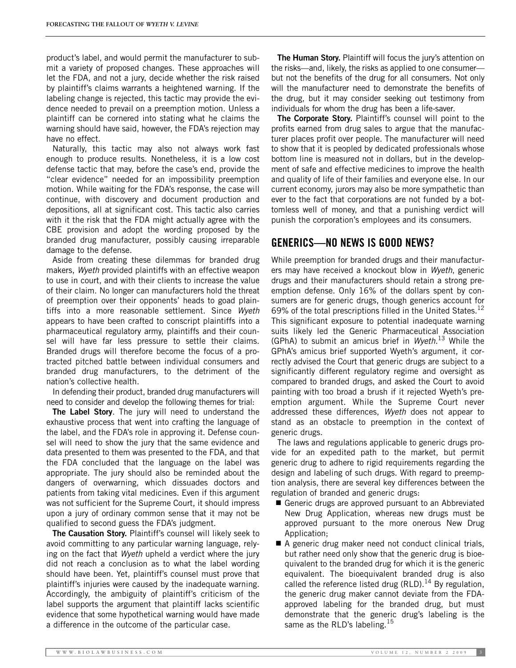product's label, and would permit the manufacturer to submit a variety of proposed changes. These approaches will let the FDA, and not a jury, decide whether the risk raised by plaintiff's claims warrants a heightened warning. If the labeling change is rejected, this tactic may provide the evidence needed to prevail on a preemption motion. Unless a plaintiff can be cornered into stating what he claims the warning should have said, however, the FDA's rejection may have no effect.

Naturally, this tactic may also not always work fast enough to produce results. Nonetheless, it is a low cost defense tactic that may, before the case's end, provide the "clear evidence" needed for an impossibility preemption motion. While waiting for the FDA's response, the case will continue, with discovery and document production and depositions, all at significant cost. This tactic also carries with it the risk that the FDA might actually agree with the CBE provision and adopt the wording proposed by the branded drug manufacturer, possibly causing irreparable damage to the defense.

Aside from creating these dilemmas for branded drug makers, *Wyeth* provided plaintiffs with an effective weapon to use in court, and with their clients to increase the value of their claim. No longer can manufacturers hold the threat of preemption over their opponents' heads to goad plaintiffs into a more reasonable settlement. Since *Wyeth* appears to have been crafted to conscript plaintiffs into a pharmaceutical regulatory army, plaintiffs and their counsel will have far less pressure to settle their claims. Branded drugs will therefore become the focus of a protracted pitched battle between individual consumers and branded drug manufacturers, to the detriment of the nation's collective health.

In defending their product, branded drug manufacturers will need to consider and develop the following themes for trial:

**The Label Story**. The jury will need to understand the exhaustive process that went into crafting the language of the label, and the FDA's role in approving it. Defense counsel will need to show the jury that the same evidence and data presented to them was presented to the FDA, and that the FDA concluded that the language on the label was appropriate. The jury should also be reminded about the dangers of overwarning, which dissuades doctors and patients from taking vital medicines. Even if this argument was not sufficient for the Supreme Court, it should impress upon a jury of ordinary common sense that it may not be qualified to second guess the FDA's judgment.

**The Causation Story.** Plaintiff's counsel will likely seek to avoid committing to any particular warning language, relying on the fact that *Wyeth* upheld a verdict where the jury did not reach a conclusion as to what the label wording should have been. Yet, plaintiff's counsel must prove that plaintiff's injuries were caused by the inadequate warning. Accordingly, the ambiguity of plaintiff's criticism of the label supports the argument that plaintiff lacks scientific evidence that some hypothetical warning would have made a difference in the outcome of the particular case.

**The Human Story.** Plaintiff will focus the jury's attention on the risks—and, likely, the risks as applied to one consumer but not the benefits of the drug for all consumers. Not only will the manufacturer need to demonstrate the benefits of the drug, but it may consider seeking out testimony from individuals for whom the drug has been a life-saver.

**The Corporate Story.** Plaintiff's counsel will point to the profits earned from drug sales to argue that the manufacturer places profit over people. The manufacturer will need to show that it is peopled by dedicated professionals whose bottom line is measured not in dollars, but in the development of safe and effective medicines to improve the health and quality of life of their families and everyone else. In our current economy, jurors may also be more sympathetic than ever to the fact that corporations are not funded by a bottomless well of money, and that a punishing verdict will punish the corporation's employees and its consumers.

# **GENERICS—NO NEWS IS GOOD NEWS?**

While preemption for branded drugs and their manufacturers may have received a knockout blow in *Wyeth*, generic drugs and their manufacturers should retain a strong preemption defense. Only 16% of the dollars spent by consumers are for generic drugs, though generics account for 69% of the total prescriptions filled in the United States. $12$ This significant exposure to potential inadequate warning suits likely led the Generic Pharmaceutical Association (GPhA) to submit an amicus brief in *Wyeth*. <sup>13</sup> While the GPhA's amicus brief supported Wyeth's argument, it correctly advised the Court that generic drugs are subject to a significantly different regulatory regime and oversight as compared to branded drugs, and asked the Court to avoid painting with too broad a brush if it rejected Wyeth's preemption argument. While the Supreme Court never addressed these differences, *Wyeth* does not appear to stand as an obstacle to preemption in the context of generic drugs.

The laws and regulations applicable to generic drugs provide for an expedited path to the market, but permit generic drug to adhere to rigid requirements regarding the design and labeling of such drugs. With regard to preemption analysis, there are several key differences between the regulation of branded and generic drugs:

- Generic drugs are approved pursuant to an Abbreviated New Drug Application, whereas new drugs must be approved pursuant to the more onerous New Drug Application;
- A generic drug maker need not conduct clinical trials, but rather need only show that the generic drug is bioequivalent to the branded drug for which it is the generic equivalent. The bioequivalent branded drug is also called the reference listed drug (RLD).<sup>14</sup> By regulation, the generic drug maker cannot deviate from the FDAapproved labeling for the branded drug, but must demonstrate that the generic drug's labeling is the same as the RLD's labeling.<sup>15</sup>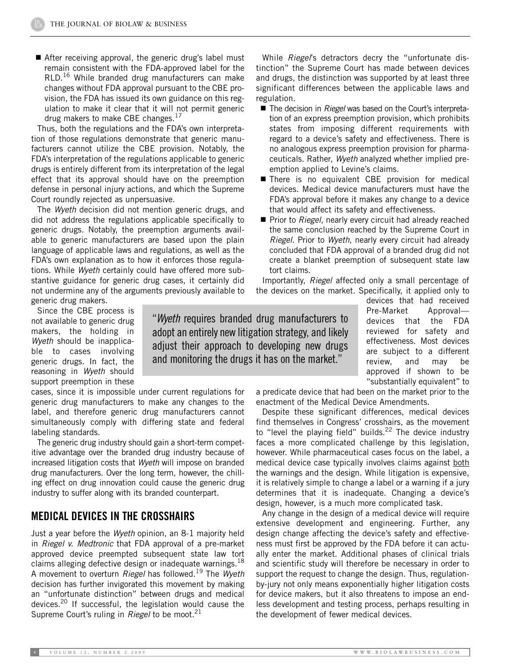■ After receiving approval, the generic drug's label must remain consistent with the FDA-approved label for the RLD.<sup>16</sup> While branded drug manufacturers can make changes without FDA approval pursuant to the CBE provision, the FDA has issued its own guidance on this regulation to make it clear that it will not permit generic drug makers to make CBE changes. $^{17}$ 

Thus, both the regulations and the FDA's own interpretation of those regulations demonstrate that generic manufacturers cannot utilize the CBE provision. Notably, the FDA's interpretation of the regulations applicable to generic drugs is entirely different from its interpretation of the legal effect that its approval should have on the preemption defense in personal injury actions, and which the Supreme Court roundly rejected as unpersuasive.

The *Wyeth* decision did not mention generic drugs, and did not address the regulations applicable specifically to generic drugs. Notably, the preemption arguments available to generic manufacturers are based upon the plain language of applicable laws and regulations, as well as the FDA's own explanation as to how it enforces those regulations. While *Wyeth* certainly could have offered more substantive guidance for generic drug cases, it certainly did not undermine any of the arguments previously available to

While *Riegel*'s detractors decry the "unfortunate distinction" the Supreme Court has made between devices and drugs, the distinction was supported by at least three significant differences between the applicable laws and regulation.

- The decision in *Riegel* was based on the Court's interpretation of an express preemption provision, which prohibits states from imposing different requirements with regard to a device's safety and effectiveness. There is no analogous express preemption provision for pharmaceuticals. Rather, *Wyeth* analyzed whether implied preemption applied to Levine's claims.
- There is no equivalent CBE provision for medical devices. Medical device manufacturers must have the FDA's approval before it makes any change to a device that would affect its safety and effectiveness.
- Prior to *Riegel*, nearly every circuit had already reached the same conclusion reached by the Supreme Court in *Riegel*. Prior to *Wyeth*, nearly every circuit had already concluded that FDA approval of a branded drug did not create a blanket preemption of subsequent state law tort claims.

Importantly, *Riegel* affected only a small percentage of the devices on the market. Specifically, it applied only to

generic drug makers.

Since the CBE process is not available to generic drug makers, the holding in *Wyeth* should be inapplicable to cases involving generic drugs. In fact, the reasoning in *Wyeth* should support preemption in these

cases, since it is impossible under current regulations for generic drug manufacturers to make any changes to the label, and therefore generic drug manufacturers cannot simultaneously comply with differing state and federal labeling standards.

The generic drug industry should gain a short-term competitive advantage over the branded drug industry because of increased litigation costs that *Wyeth* will impose on branded drug manufacturers. Over the long term, however, the chilling effect on drug innovation could cause the generic drug industry to suffer along with its branded counterpart.

## **MEDICAL DEVICES IN THE CROSSHAIRS**

Just a year before the *Wyeth* opinion, an 8-1 majority held in *Riegel v. Medtronic* that FDA approval of a pre-market approved device preempted subsequent state law tort claims alleging defective design or inadequate warnings.  $18$ A movement to overturn *Riegel* has followed.19 The *Wyeth* decision has further invigorated this movement by making an "unfortunate distinction" between drugs and medical devices.20 If successful, the legislation would cause the Supreme Court's ruling in *Riegel* to be moot.<sup>21</sup>

"*Wyeth* requires branded drug manufacturers to adopt an entirely new litigation strategy, and likely adjust their approach to developing new drugs and monitoring the drugs it has on the market."

devices that had received Pre-Market Approval devices that the FDA reviewed for safety and effectiveness. Most devices are subject to a different review, and may be approved if shown to be "substantially equivalent" to

a predicate device that had been on the market prior to the enactment of the Medical Device Amendments.

Despite these significant differences, medical devices find themselves in Congress' crosshairs, as the movement to "level the playing field" builds.<sup>22</sup> The device industry faces a more complicated challenge by this legislation, however. While pharmaceutical cases focus on the label, a medical device case typically involves claims against both the warnings and the design. While litigation is expensive, it is relatively simple to change a label or a warning if a jury determines that it is inadequate. Changing a device's design, however, is a much more complicated task.

Any change in the design of a medical device will require extensive development and engineering. Further, any design change affecting the device's safety and effectiveness must first be approved by the FDA before it can actually enter the market. Additional phases of clinical trials and scientific study will therefore be necessary in order to support the request to change the design. Thus, regulationby-jury not only means exponentially higher litigation costs for device makers, but it also threatens to impose an endless development and testing process, perhaps resulting in the development of fewer medical devices.